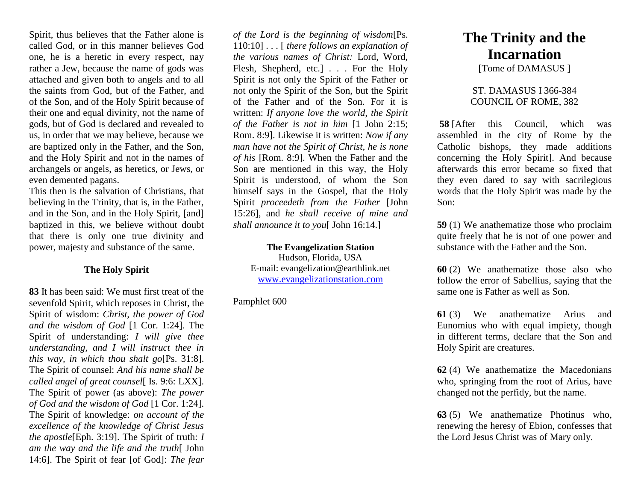Spirit, thus believes that the Father alone is called God, or in this manner believes God one, he is a heretic in every respect, nay rather a Jew, because the name of gods was attached and given both to angels and to all the saints from God, but of the Father, and of the Son, and of the Holy Spirit because of their one and equal divinity, not the name of gods, but of God is declared and revealed to us, in order that we may believe, because we are baptized only in the Father, and the Son, and the Holy Spirit and not in the names of archangels or angels, as heretics, or Jews, or even demented pagans.

This then is the salvation of Christians, that believing in the Trinity, that is, in the Father, and in the Son, and in the Holy Spirit, [and] baptized in this, we believe without doubt that there is only one true divinity and power, majesty and substance of the same.

## **The Holy Spirit**

**83** It has been said: We must first treat of the sevenfold Spirit, which reposes in Christ, the Spirit of wisdom: *Christ, the power of God and the wisdom of God* [1 Cor. 1:24]. The Spirit of understanding: *I will give thee understanding, and I will instruct thee in this way, in which thou shalt go*[Ps. 31:8]. The Spirit of counsel: *And his name shall be called angel of great counsel*[ Is. 9:6: LXX]. The Spirit of power (as above): *The power of God and the wisdom of God* [1 Cor. 1:24]. The Spirit of knowledge: *on account of the excellence of the knowledge of Christ Jesus the apostle*[Eph. 3:19]. The Spirit of truth: *I am the way and the life and the truth*[ John 14:6]. The Spirit of fear [of God]: *The fear* 

*of the Lord is the beginning of wisdom*[Ps. 110:10] . . . [ *there follows an explanation of the various names of Christ:* Lord, Word, Flesh, Shepherd, etc.] . . . For the Holy Spirit is not only the Spirit of the Father or not only the Spirit of the Son, but the Spirit of the Father and of the Son. For it is written: *If anyone love the world, the Spirit of the Father is not in him* [1 John 2:15; Rom. 8:9]. Likewise it is written: *Now if any man have not the Spirit of Christ, he is none of his* [Rom. 8:9]. When the Father and the Son are mentioned in this way, the Holy Spirit is understood, of whom the Son himself says in the Gospel, that the Holy Spirit *proceedeth from the Father* [John 15:26], and *he shall receive of mine and shall announce it to you*[ John 16:14.]

## **The Evangelization Station**

Hudson, Florida, USA E-mail: evangelization@earthlink.net [www.evangelizationstation.com](http://www.pjpiisoe.org/)

Pamphlet 600

## **The Trinity and the Incarnation**

[Tome of DAMASUS]

## ST. DAMASUS I 366-384 COUNCIL OF ROME, 382

**58** [After this Council, which was assembled in the city of Rome by the Catholic bishops, they made additions concerning the Holy Spirit]. And because afterwards this error became so fixed that they even dared to say with sacrilegious words that the Holy Spirit was made by the Son:

**59** (1) We anathematize those who proclaim quite freely that he is not of one power and substance with the Father and the Son.

**60** (2) We anathematize those also who follow the error of Sabellius, saying that the same one is Father as well as Son.

**61** (3) We anathematize Arius and Eunomius who with equal impiety, though in different terms, declare that the Son and Holy Spirit are creatures.

**62** (4) We anathematize the Macedonians who, springing from the root of Arius, have changed not the perfidy, but the name.

**63** (5) We anathematize Photinus who, renewing the heresy of Ebion, confesses that the Lord Jesus Christ was of Mary only.